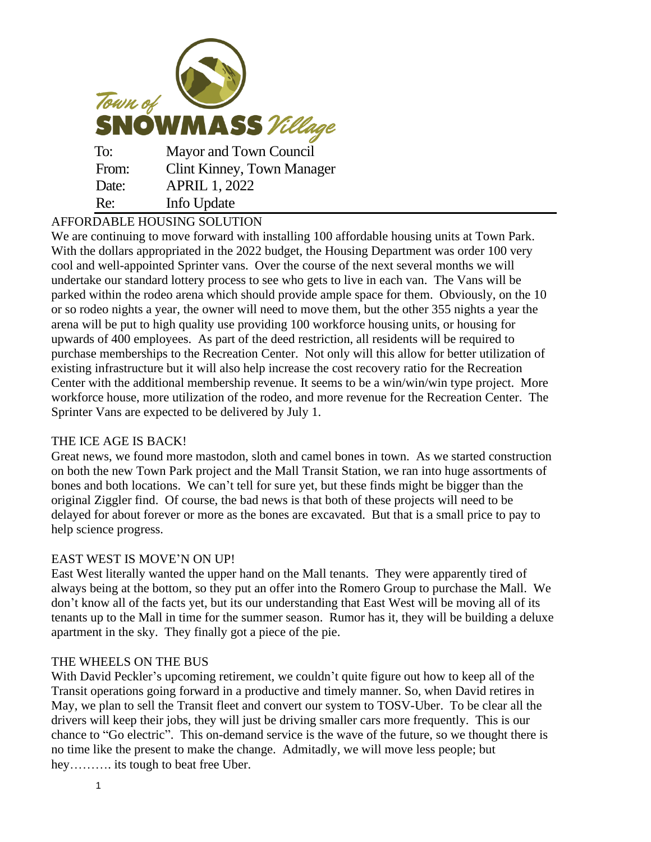

# AFFORDABLE HOUSING SOLUTION

We are continuing to move forward with installing 100 affordable housing units at Town Park. With the dollars appropriated in the 2022 budget, the Housing Department was order 100 very cool and well-appointed Sprinter vans. Over the course of the next several months we will undertake our standard lottery process to see who gets to live in each van. The Vans will be parked within the rodeo arena which should provide ample space for them. Obviously, on the 10 or so rodeo nights a year, the owner will need to move them, but the other 355 nights a year the arena will be put to high quality use providing 100 workforce housing units, or housing for upwards of 400 employees. As part of the deed restriction, all residents will be required to purchase memberships to the Recreation Center. Not only will this allow for better utilization of existing infrastructure but it will also help increase the cost recovery ratio for the Recreation Center with the additional membership revenue. It seems to be a win/win/win type project. More workforce house, more utilization of the rodeo, and more revenue for the Recreation Center. The Sprinter Vans are expected to be delivered by July 1.

## THE ICE AGE IS BACK!

Great news, we found more mastodon, sloth and camel bones in town. As we started construction on both the new Town Park project and the Mall Transit Station, we ran into huge assortments of bones and both locations. We can't tell for sure yet, but these finds might be bigger than the original Ziggler find. Of course, the bad news is that both of these projects will need to be delayed for about forever or more as the bones are excavated. But that is a small price to pay to help science progress.

#### EAST WEST IS MOVE'N ON UP!

East West literally wanted the upper hand on the Mall tenants. They were apparently tired of always being at the bottom, so they put an offer into the Romero Group to purchase the Mall. We don't know all of the facts yet, but its our understanding that East West will be moving all of its tenants up to the Mall in time for the summer season. Rumor has it, they will be building a deluxe apartment in the sky. They finally got a piece of the pie.

#### THE WHEELS ON THE BUS

With David Peckler's upcoming retirement, we couldn't quite figure out how to keep all of the Transit operations going forward in a productive and timely manner. So, when David retires in May, we plan to sell the Transit fleet and convert our system to TOSV-Uber. To be clear all the drivers will keep their jobs, they will just be driving smaller cars more frequently. This is our chance to "Go electric". This on-demand service is the wave of the future, so we thought there is no time like the present to make the change. Admitadly, we will move less people; but hey………. its tough to beat free Uber.